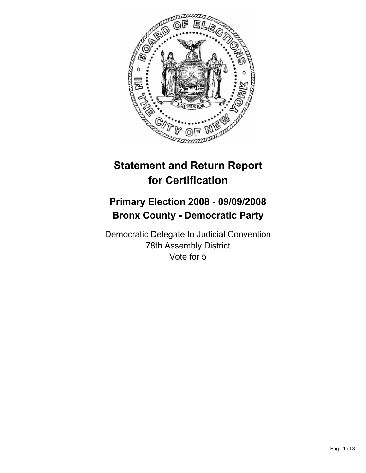

## **Statement and Return Report for Certification**

## **Primary Election 2008 - 09/09/2008 Bronx County - Democratic Party**

Democratic Delegate to Judicial Convention 78th Assembly District Vote for 5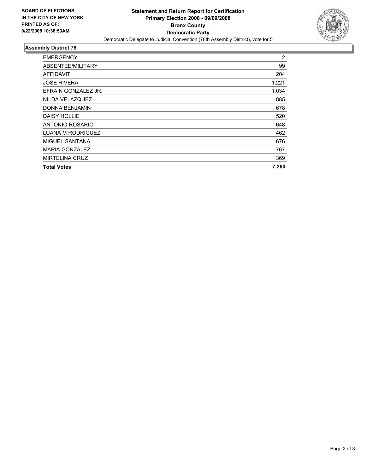

## **Assembly District 78**

| <b>EMERGENCY</b>         | $\overline{c}$ |
|--------------------------|----------------|
| ABSENTEE/MILITARY        | 99             |
| AFFIDAVIT                | 204            |
| <b>JOSE RIVERA</b>       | 1,221          |
| EFRAIN GONZALEZ JR.      | 1,034          |
| NILDA VELAZQUEZ          | 885            |
| <b>DONNA BENJAMIN</b>    | 678            |
| <b>DAISY HOLLIE</b>      | 520            |
| ANTONIO ROSARIO          | 648            |
| <b>LUANA M RODRIGUEZ</b> | 462            |
| MIGUEL SANTANA           | 676            |
| <b>MARIA GONZALEZ</b>    | 767            |
| <b>MIRTELINA CRUZ</b>    | 369            |
| <b>Total Votes</b>       | 7,260          |